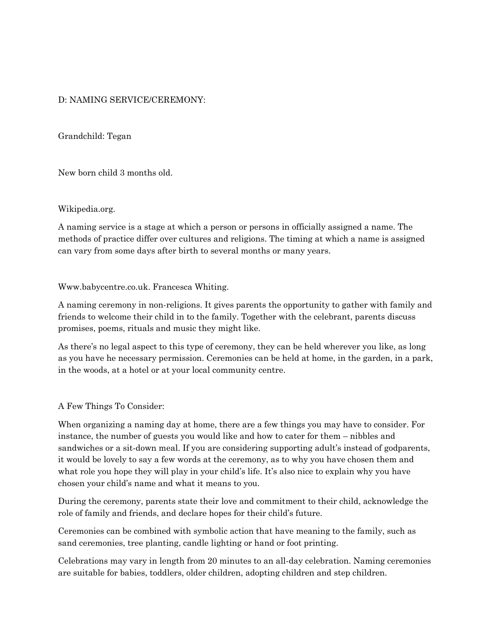# D: NAMING SERVICE/CEREMONY:

Grandchild: Tegan

New born child 3 months old.

## Wikipedia.org.

A naming service is a stage at which a person or persons in officially assigned a name. The methods of practice differ over cultures and religions. The timing at which a name is assigned can vary from some days after birth to several months or many years.

## Www.babycentre.co.uk. Francesca Whiting.

A naming ceremony in non-religions. It gives parents the opportunity to gather with family and friends to welcome their child in to the family. Together with the celebrant, parents discuss promises, poems, rituals and music they might like.

As there's no legal aspect to this type of ceremony, they can be held wherever you like, as long as you have he necessary permission. Ceremonies can be held at home, in the garden, in a park, in the woods, at a hotel or at your local community centre.

#### A Few Things To Consider:

When organizing a naming day at home, there are a few things you may have to consider. For instance, the number of guests you would like and how to cater for them – nibbles and sandwiches or a sit-down meal. If you are considering supporting adult's instead of godparents, it would be lovely to say a few words at the ceremony, as to why you have chosen them and what role you hope they will play in your child's life. It's also nice to explain why you have chosen your child's name and what it means to you.

During the ceremony, parents state their love and commitment to their child, acknowledge the role of family and friends, and declare hopes for their child's future.

Ceremonies can be combined with symbolic action that have meaning to the family, such as sand ceremonies, tree planting, candle lighting or hand or foot printing.

Celebrations may vary in length from 20 minutes to an all-day celebration. Naming ceremonies are suitable for babies, toddlers, older children, adopting children and step children.